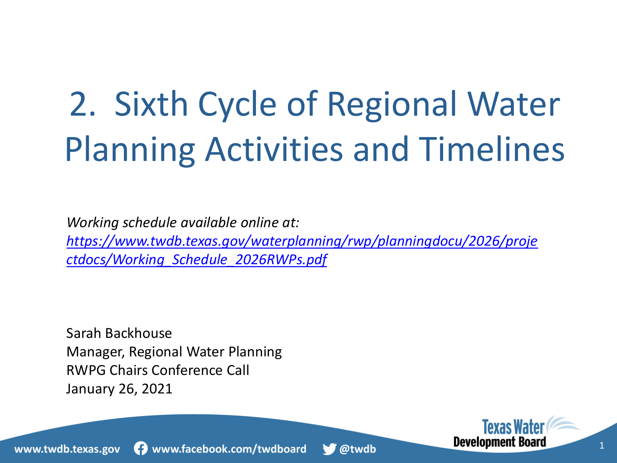# 2. Sixth Cycle of Regional Water Planning Activities and Timelines

*Working schedule available online at: [https://www.twdb.texas.gov/waterplanning/rwp/planningdocu/2026/proje](https://www.twdb.texas.gov/waterplanning/rwp/planningdocu/2026/projectdocs/Working_Schedule_2026RWPs.pdf) ctdocs/Working\_Schedule\_2026RWPs.pdf*

Sarah Backhouse Manager, Regional Water Planning RWPG Chairs Conference Call January 26, 2021

> **Texas Wat Development Board** 1



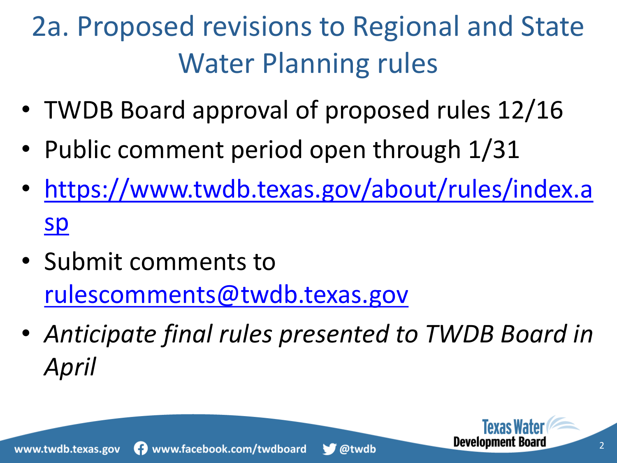- TWDB Board approval of proposed rules 12/16
- Public comment period open through 1/31
- [https://www.twdb.texas.gov/about/rules/index.a](https://www.twdb.texas.gov/about/rules/index.asp) sp
- Submit comments to [rulescomments@twdb.texas.gov](mailto:rulescomments@twdb.texas.gov)
- *Anticipate final rules presented to TWDB Board in April*



**Development B**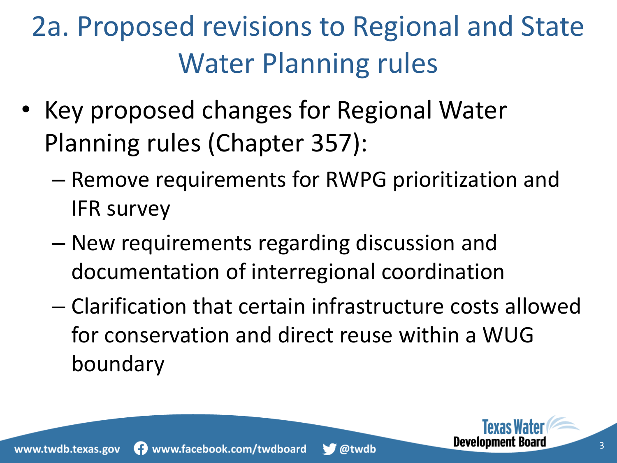- Key proposed changes for Regional Water Planning rules (Chapter 357):
	- Remove requirements for RWPG prioritization and IFR survey
	- New requirements regarding discussion and documentation of interregional coordination
	- Clarification that certain infrastructure costs allowed for conservation and direct reuse within a WUG boundary



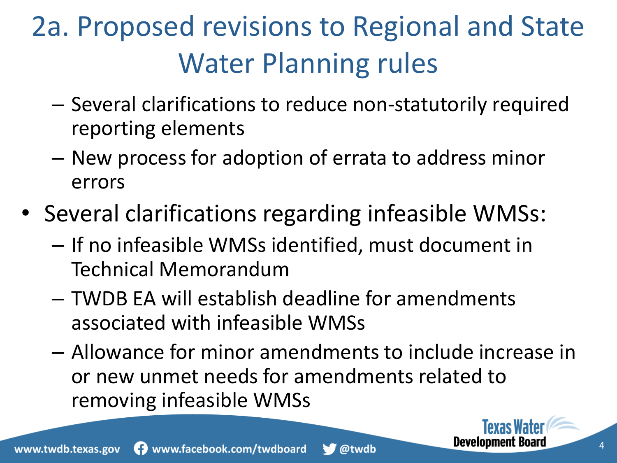- Several clarifications to reduce non-statutorily required reporting elements
- New process for adoption of errata to address minor errors
- Several clarifications regarding infeasible WMSs:
	- If no infeasible WMSs identified, must document in Technical Memorandum
	- TWDB EA will establish deadline for amendments associated with infeasible WMSs
	- Allowance for minor amendments to include increase in or new unmet needs for amendments related to removing infeasible WMSs



**Development Bo**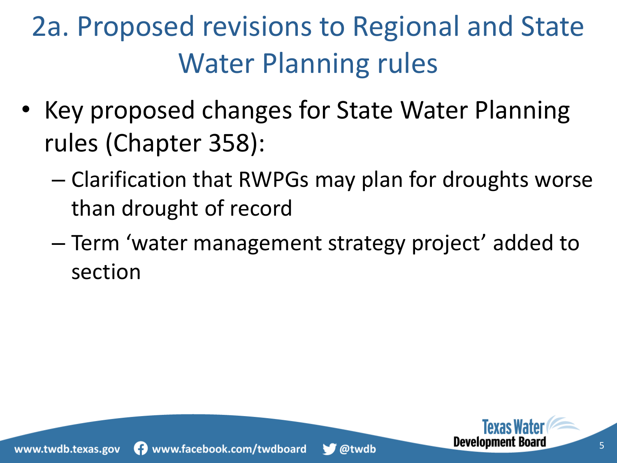- Key proposed changes for State Water Planning rules (Chapter 358):
	- Clarification that RWPGs may plan for droughts worse than drought of record
	- Term 'water management strategy project' added to section



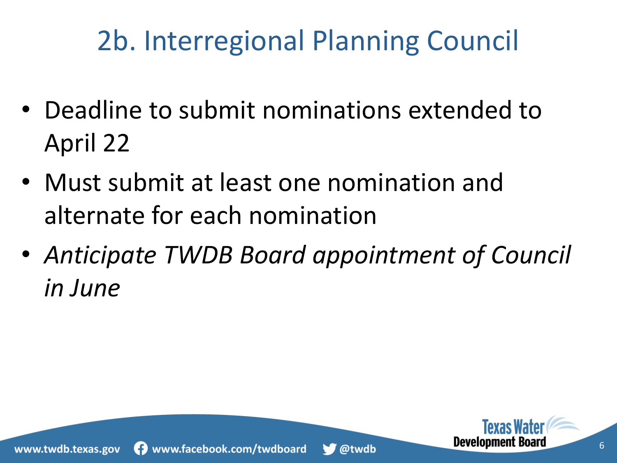#### 2b. Interregional Planning Council

- Deadline to submit nominations extended to April 22
- Must submit at least one nomination and alternate for each nomination
- *Anticipate TWDB Board appointment of Council in June*



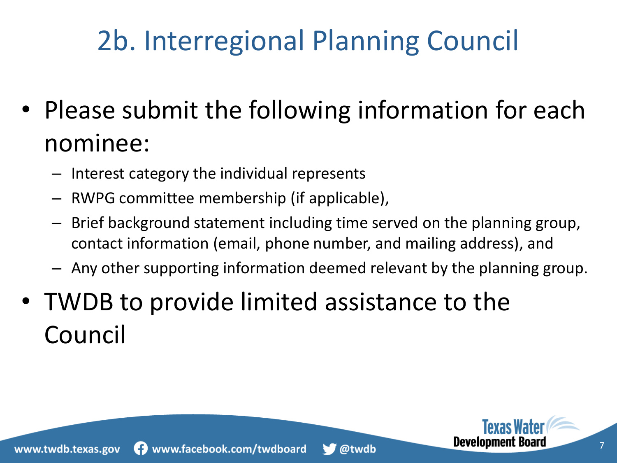## 2b. Interregional Planning Council

- Please submit the following information for each nominee:
	- Interest category the individual represents
	- RWPG committee membership (if applicable),
	- Brief background statement including time served on the planning group, contact information (email, phone number, and mailing address), and
	- Any other supporting information deemed relevant by the planning group.
- TWDB to provide limited assistance to the Council

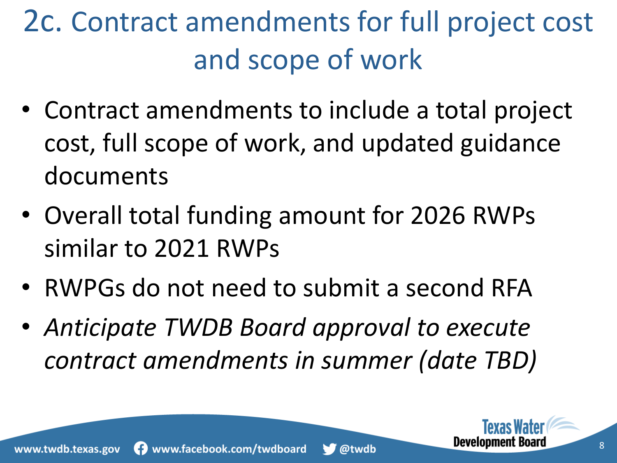# 2c. Contract amendments for full project cost and scope of work

- Contract amendments to include a total project cost, full scope of work, and updated guidance documents
- Overall total funding amount for 2026 RWPs similar to 2021 RWPs
- RWPGs do not need to submit a second RFA
- *Anticipate TWDB Board approval to execute contract amendments in summer (date TBD)*



**Development B**